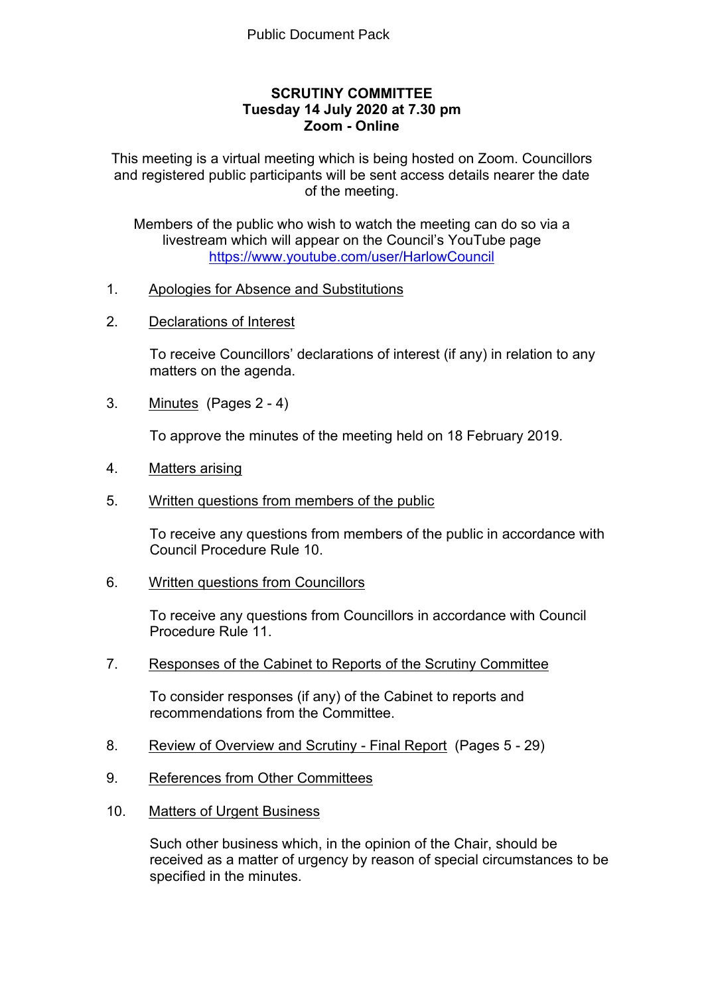#### **SCRUTINY COMMITTEE Tuesday 14 July 2020 at 7.30 pm Zoom - Online**

This meeting is a virtual meeting which is being hosted on Zoom. Councillors and registered public participants will be sent access details nearer the date of the meeting.

Members of the public who wish to watch the meeting can do so via a livestream which will appear on the Council's YouTube page <https://www.youtube.com/user/HarlowCouncil>

- 1. Apologies for Absence and Substitutions
- 2. Declarations of Interest

To receive Councillors' declarations of interest (if any) in relation to any matters on the agenda.

3. Minutes(Pages 2 - 4)

To approve the minutes of the meeting held on 18 February 2019.

- 4. Matters arising
- 5. Written questions from members of the public

To receive any questions from members of the public in accordance with Council Procedure Rule 10.

6. Written questions from Councillors

To receive any questions from Councillors in accordance with Council Procedure Rule 11.

7. Responses of the Cabinet to Reports of the Scrutiny Committee

To consider responses (if any) of the Cabinet to reports and recommendations from the Committee.

- 8. Review of Overview and Scrutiny Final Report(Pages 5 29)
- 9. References from Other Committees
- 10. Matters of Urgent Business

Such other business which, in the opinion of the Chair, should be received as a matter of urgency by reason of special circumstances to be specified in the minutes.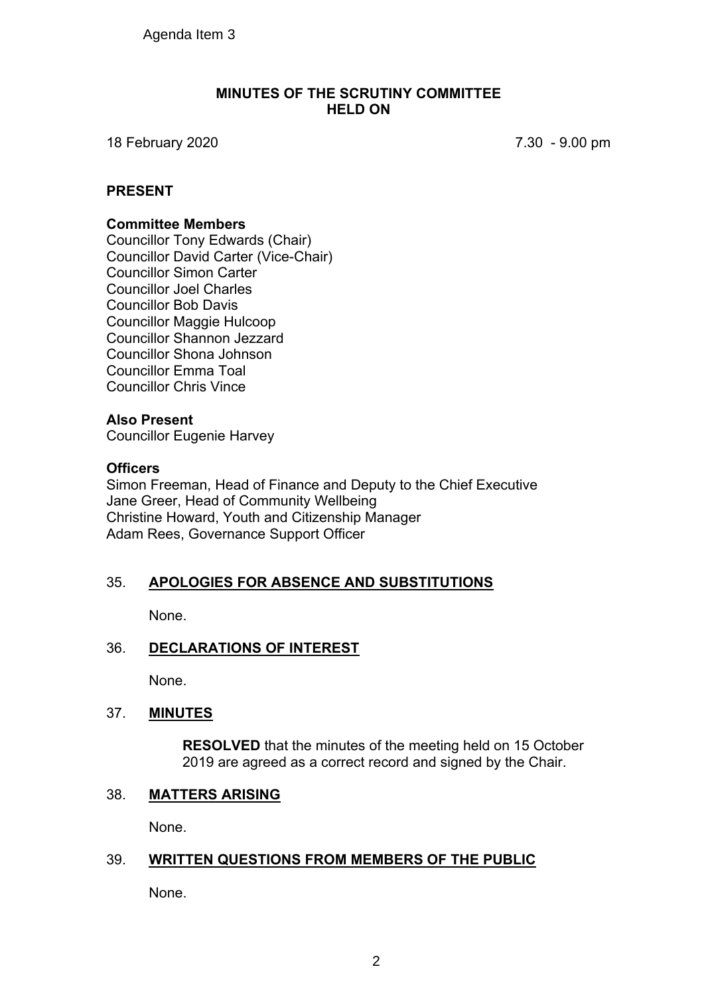#### **MINUTES OF THE SCRUTINY COMMITTEE HELD ON**

18 February 2020 7.30 - 9.00 pm

#### **PRESENT**

#### **Committee Members**

Councillor Tony Edwards (Chair) Councillor David Carter (Vice-Chair) Councillor Simon Carter Councillor Joel Charles Councillor Bob Davis Councillor Maggie Hulcoop Councillor Shannon Jezzard Councillor Shona Johnson Councillor Emma Toal Councillor Chris Vince

#### **Also Present**

Councillor Eugenie Harvey

#### **Officers**

Simon Freeman, Head of Finance and Deputy to the Chief Executive Jane Greer, Head of Community Wellbeing Christine Howard, Youth and Citizenship Manager Adam Rees, Governance Support Officer

#### 35. **APOLOGIES FOR ABSENCE AND SUBSTITUTIONS**

None.

#### 36. **DECLARATIONS OF INTEREST**

None.

#### 37. **MINUTES**

**RESOLVED** that the minutes of the meeting held on 15 October 2019 are agreed as a correct record and signed by the Chair.

#### 38. **MATTERS ARISING**

None.

# 39. **WRITTEN QUESTIONS FROM MEMBERS OF THE PUBLIC**

None.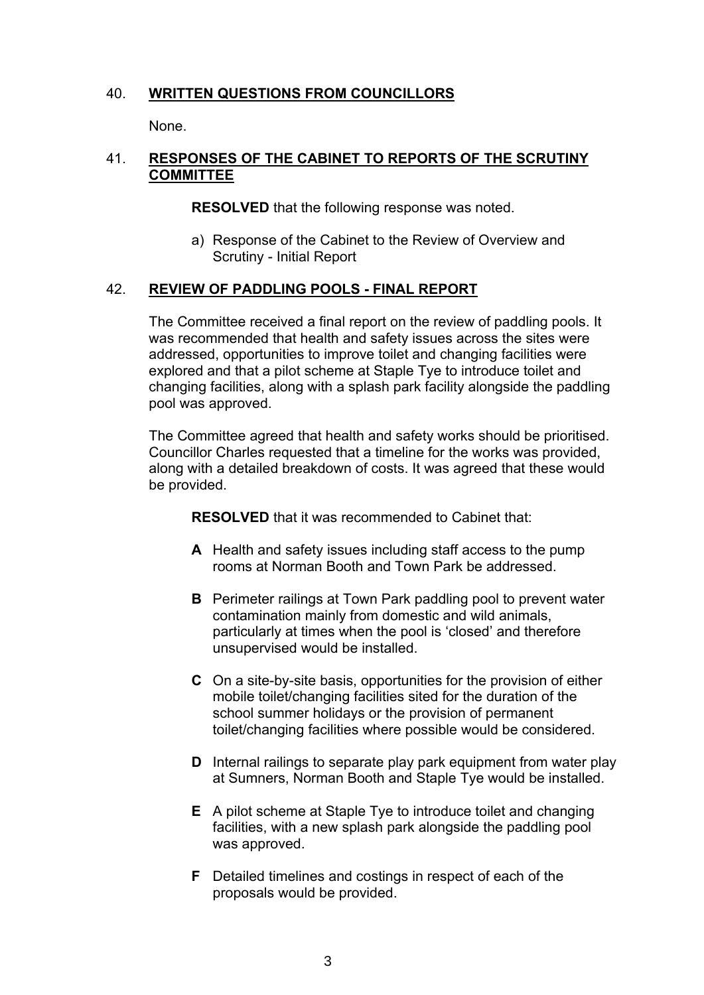## 40. **WRITTEN QUESTIONS FROM COUNCILLORS**

None.

## 41. **RESPONSES OF THE CABINET TO REPORTS OF THE SCRUTINY COMMITTEE**

**RESOLVED** that the following response was noted.

a) Response of the Cabinet to the Review of Overview and Scrutiny - Initial Report

#### 42. **REVIEW OF PADDLING POOLS - FINAL REPORT**

The Committee received a final report on the review of paddling pools. It was recommended that health and safety issues across the sites were addressed, opportunities to improve toilet and changing facilities were explored and that a pilot scheme at Staple Tye to introduce toilet and changing facilities, along with a splash park facility alongside the paddling pool was approved.

The Committee agreed that health and safety works should be prioritised. Councillor Charles requested that a timeline for the works was provided, along with a detailed breakdown of costs. It was agreed that these would be provided.

**RESOLVED** that it was recommended to Cabinet that:

- **A** Health and safety issues including staff access to the pump rooms at Norman Booth and Town Park be addressed.
- **B** Perimeter railings at Town Park paddling pool to prevent water contamination mainly from domestic and wild animals, particularly at times when the pool is 'closed' and therefore unsupervised would be installed.
- **C** On a site-by-site basis, opportunities for the provision of either mobile toilet/changing facilities sited for the duration of the school summer holidays or the provision of permanent toilet/changing facilities where possible would be considered.
- **D** Internal railings to separate play park equipment from water play at Sumners, Norman Booth and Staple Tye would be installed.
- **E** A pilot scheme at Staple Tye to introduce toilet and changing facilities, with a new splash park alongside the paddling pool was approved.
- **F** Detailed timelines and costings in respect of each of the proposals would be provided.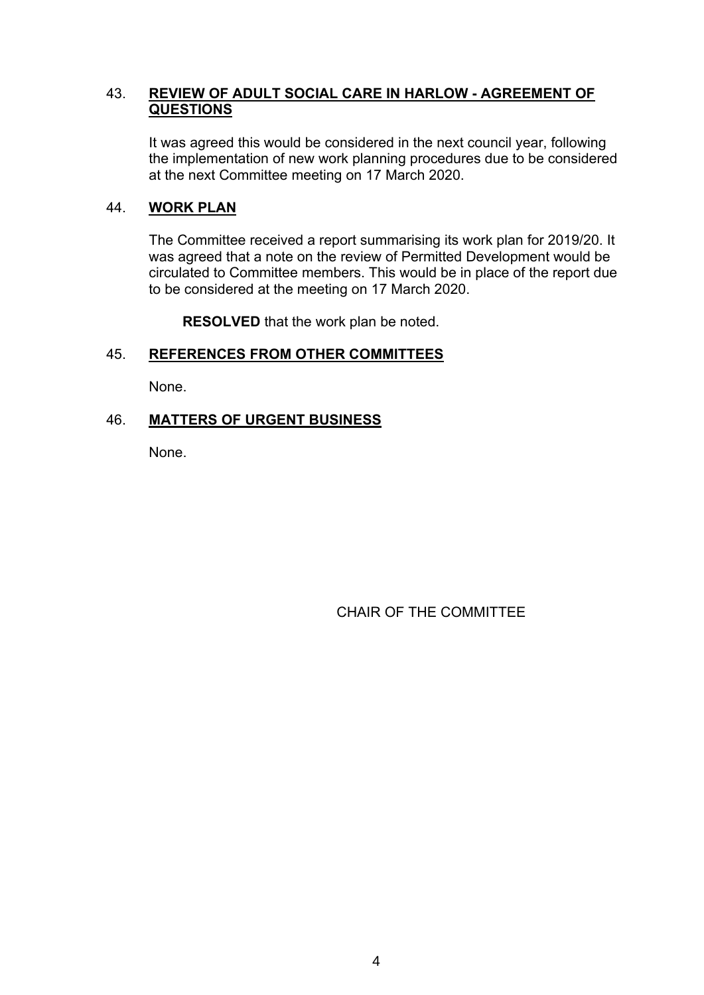#### 43. **REVIEW OF ADULT SOCIAL CARE IN HARLOW - AGREEMENT OF QUESTIONS**

It was agreed this would be considered in the next council year, following the implementation of new work planning procedures due to be considered at the next Committee meeting on 17 March 2020.

#### 44. **WORK PLAN**

The Committee received a report summarising its work plan for 2019/20. It was agreed that a note on the review of Permitted Development would be circulated to Committee members. This would be in place of the report due to be considered at the meeting on 17 March 2020.

**RESOLVED** that the work plan be noted.

#### 45. **REFERENCES FROM OTHER COMMITTEES**

None.

# 46. **MATTERS OF URGENT BUSINESS**

None.

CHAIR OF THE COMMITTEE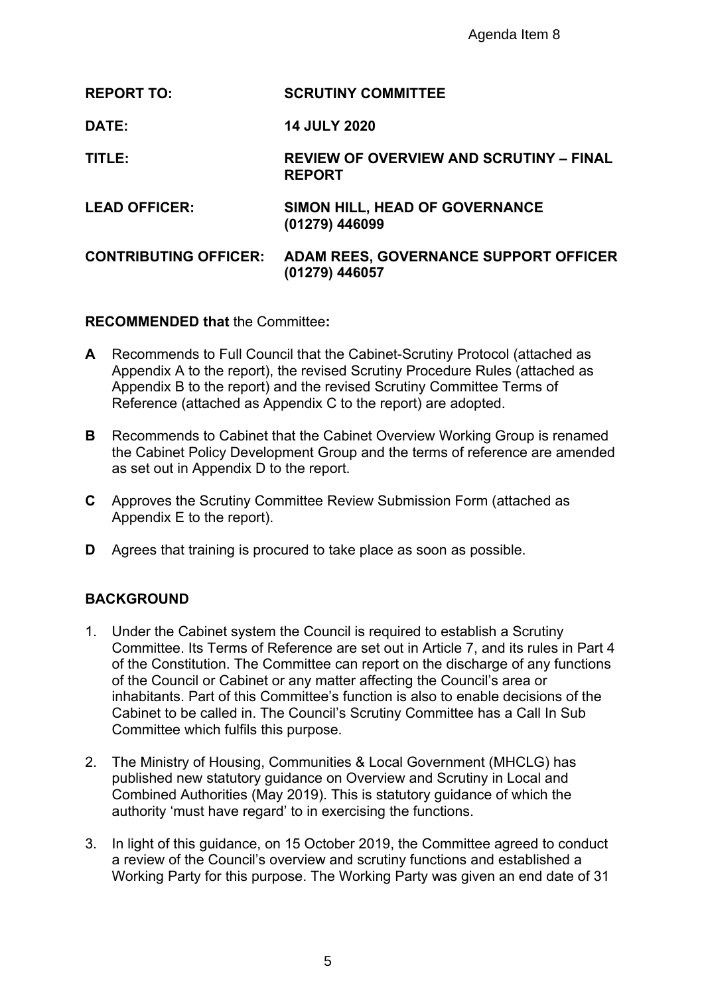Agenda Item 8

| <b>REPORT TO:</b>            | <b>SCRUTINY COMMITTEE</b>                                       |
|------------------------------|-----------------------------------------------------------------|
| <b>DATE:</b>                 | <b>14 JULY 2020</b>                                             |
| TITLE:                       | <b>REVIEW OF OVERVIEW AND SCRUTINY - FINAL</b><br><b>REPORT</b> |
| <b>LEAD OFFICER:</b>         | SIMON HILL, HEAD OF GOVERNANCE<br>(01279) 446099                |
| <b>CONTRIBUTING OFFICER:</b> | ADAM REES, GOVERNANCE SUPPORT OFFICER<br>(01279) 446057         |

**RECOMMENDED that** the Committee**:**

- **A** Recommends to Full Council that the Cabinet-Scrutiny Protocol (attached as Appendix A to the report), the revised Scrutiny Procedure Rules (attached as Appendix B to the report) and the revised Scrutiny Committee Terms of Reference (attached as Appendix C to the report) are adopted.
- **B** Recommends to Cabinet that the Cabinet Overview Working Group is renamed the Cabinet Policy Development Group and the terms of reference are amended as set out in Appendix D to the report.
- **C** Approves the Scrutiny Committee Review Submission Form (attached as Appendix E to the report).
- **D** Agrees that training is procured to take place as soon as possible.

#### **BACKGROUND**

- 1. Under the Cabinet system the Council is required to establish a Scrutiny Committee. Its Terms of Reference are set out in Article 7, and its rules in Part 4 of the Constitution. The Committee can report on the discharge of any functions of the Council or Cabinet or any matter affecting the Council's area or inhabitants. Part of this Committee's function is also to enable decisions of the Cabinet to be called in. The Council's Scrutiny Committee has a Call In Sub Committee which fulfils this purpose.
- 2. The Ministry of Housing, Communities & Local Government (MHCLG) has published new statutory guidance on Overview and Scrutiny in Local and Combined Authorities (May 2019). This is statutory guidance of which the authority 'must have regard' to in exercising the functions.
- 3. In light of this guidance, on 15 October 2019, the Committee agreed to conduct a review of the Council's overview and scrutiny functions and established a Working Party for this purpose. The Working Party was given an end date of 31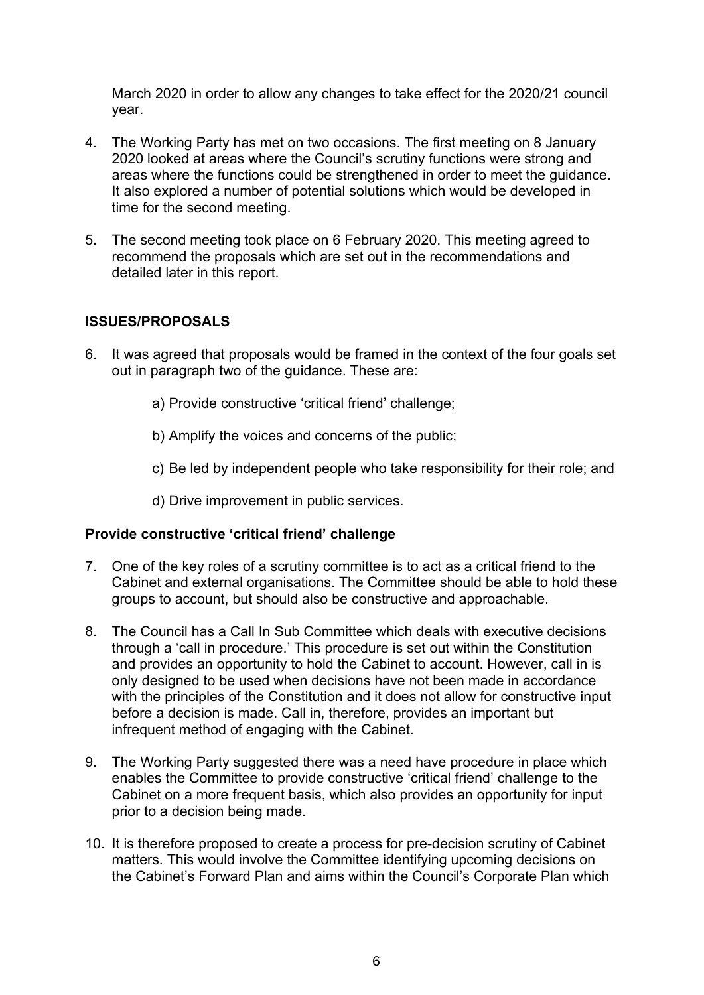March 2020 in order to allow any changes to take effect for the 2020/21 council year.

- 4. The Working Party has met on two occasions. The first meeting on 8 January 2020 looked at areas where the Council's scrutiny functions were strong and areas where the functions could be strengthened in order to meet the guidance. It also explored a number of potential solutions which would be developed in time for the second meeting.
- 5. The second meeting took place on 6 February 2020. This meeting agreed to recommend the proposals which are set out in the recommendations and detailed later in this report.

#### **ISSUES/PROPOSALS**

- 6. It was agreed that proposals would be framed in the context of the four goals set out in paragraph two of the guidance. These are:
	- a) Provide constructive 'critical friend' challenge;
	- b) Amplify the voices and concerns of the public;
	- c) Be led by independent people who take responsibility for their role; and
	- d) Drive improvement in public services.

#### **Provide constructive 'critical friend' challenge**

- 7. One of the key roles of a scrutiny committee is to act as a critical friend to the Cabinet and external organisations. The Committee should be able to hold these groups to account, but should also be constructive and approachable.
- 8. The Council has a Call In Sub Committee which deals with executive decisions through a 'call in procedure.' This procedure is set out within the Constitution and provides an opportunity to hold the Cabinet to account. However, call in is only designed to be used when decisions have not been made in accordance with the principles of the Constitution and it does not allow for constructive input before a decision is made. Call in, therefore, provides an important but infrequent method of engaging with the Cabinet.
- 9. The Working Party suggested there was a need have procedure in place which enables the Committee to provide constructive 'critical friend' challenge to the Cabinet on a more frequent basis, which also provides an opportunity for input prior to a decision being made.
- 10. It is therefore proposed to create a process for pre-decision scrutiny of Cabinet matters. This would involve the Committee identifying upcoming decisions on the Cabinet's Forward Plan and aims within the Council's Corporate Plan which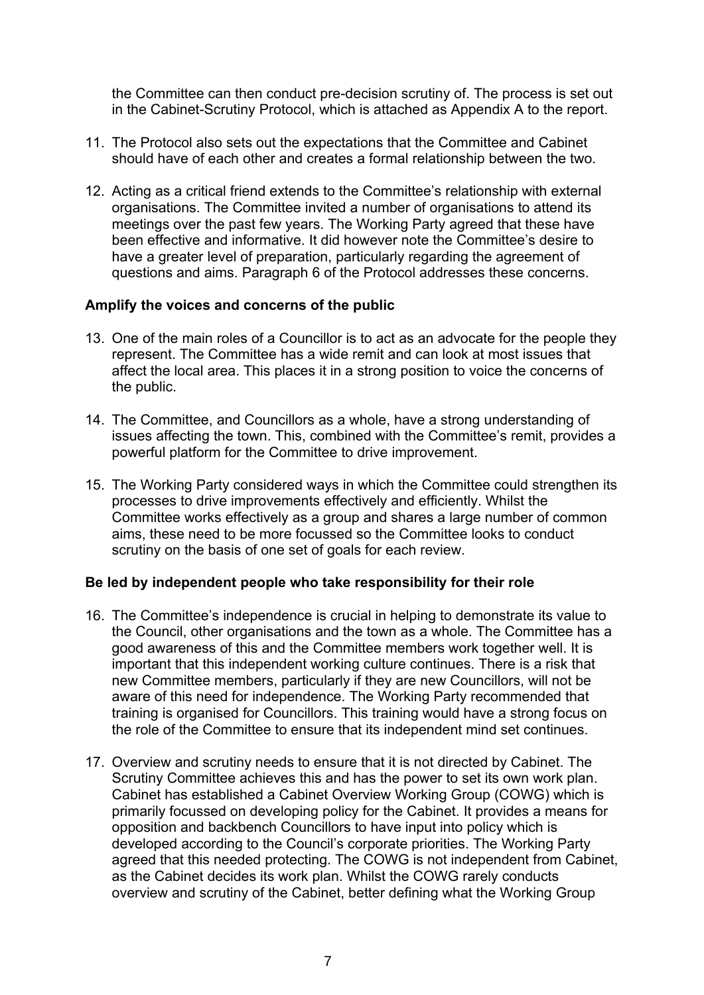the Committee can then conduct pre-decision scrutiny of. The process is set out in the Cabinet-Scrutiny Protocol, which is attached as Appendix A to the report.

- 11. The Protocol also sets out the expectations that the Committee and Cabinet should have of each other and creates a formal relationship between the two.
- 12. Acting as a critical friend extends to the Committee's relationship with external organisations. The Committee invited a number of organisations to attend its meetings over the past few years. The Working Party agreed that these have been effective and informative. It did however note the Committee's desire to have a greater level of preparation, particularly regarding the agreement of questions and aims. Paragraph 6 of the Protocol addresses these concerns.

#### **Amplify the voices and concerns of the public**

- 13. One of the main roles of a Councillor is to act as an advocate for the people they represent. The Committee has a wide remit and can look at most issues that affect the local area. This places it in a strong position to voice the concerns of the public.
- 14. The Committee, and Councillors as a whole, have a strong understanding of issues affecting the town. This, combined with the Committee's remit, provides a powerful platform for the Committee to drive improvement.
- 15. The Working Party considered ways in which the Committee could strengthen its processes to drive improvements effectively and efficiently. Whilst the Committee works effectively as a group and shares a large number of common aims, these need to be more focussed so the Committee looks to conduct scrutiny on the basis of one set of goals for each review.

#### **Be led by independent people who take responsibility for their role**

- 16. The Committee's independence is crucial in helping to demonstrate its value to the Council, other organisations and the town as a whole. The Committee has a good awareness of this and the Committee members work together well. It is important that this independent working culture continues. There is a risk that new Committee members, particularly if they are new Councillors, will not be aware of this need for independence. The Working Party recommended that training is organised for Councillors. This training would have a strong focus on the role of the Committee to ensure that its independent mind set continues.
- 17. Overview and scrutiny needs to ensure that it is not directed by Cabinet. The Scrutiny Committee achieves this and has the power to set its own work plan. Cabinet has established a Cabinet Overview Working Group (COWG) which is primarily focussed on developing policy for the Cabinet. It provides a means for opposition and backbench Councillors to have input into policy which is developed according to the Council's corporate priorities. The Working Party agreed that this needed protecting. The COWG is not independent from Cabinet, as the Cabinet decides its work plan. Whilst the COWG rarely conducts overview and scrutiny of the Cabinet, better defining what the Working Group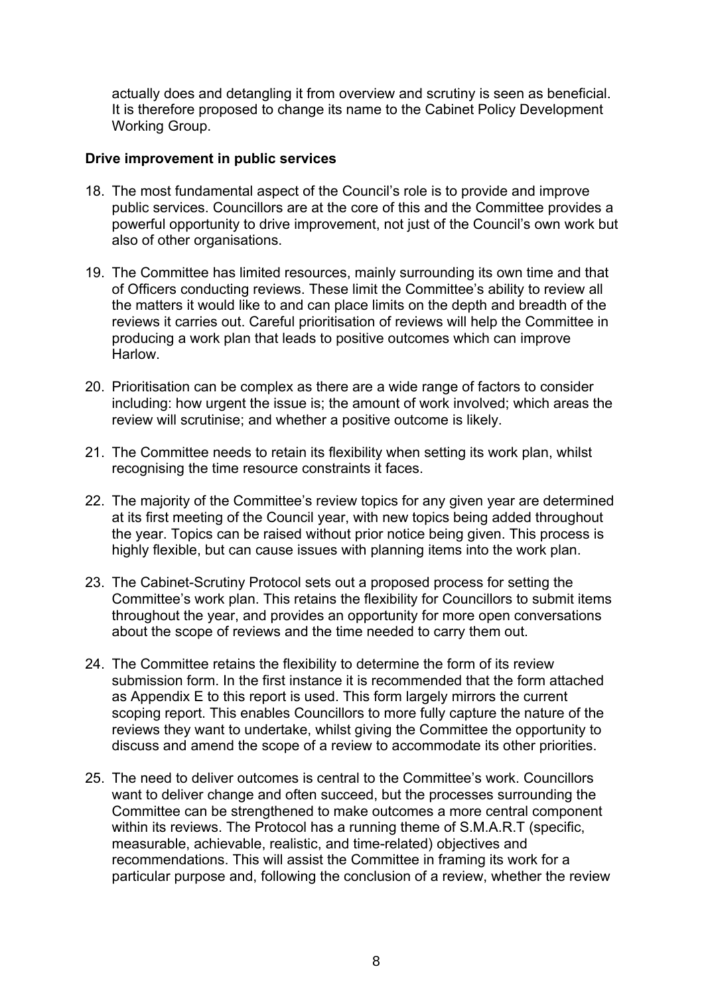actually does and detangling it from overview and scrutiny is seen as beneficial. It is therefore proposed to change its name to the Cabinet Policy Development Working Group.

#### **Drive improvement in public services**

- 18. The most fundamental aspect of the Council's role is to provide and improve public services. Councillors are at the core of this and the Committee provides a powerful opportunity to drive improvement, not just of the Council's own work but also of other organisations.
- 19. The Committee has limited resources, mainly surrounding its own time and that of Officers conducting reviews. These limit the Committee's ability to review all the matters it would like to and can place limits on the depth and breadth of the reviews it carries out. Careful prioritisation of reviews will help the Committee in producing a work plan that leads to positive outcomes which can improve Harlow.
- 20. Prioritisation can be complex as there are a wide range of factors to consider including: how urgent the issue is; the amount of work involved; which areas the review will scrutinise; and whether a positive outcome is likely.
- 21. The Committee needs to retain its flexibility when setting its work plan, whilst recognising the time resource constraints it faces.
- 22. The majority of the Committee's review topics for any given year are determined at its first meeting of the Council year, with new topics being added throughout the year. Topics can be raised without prior notice being given. This process is highly flexible, but can cause issues with planning items into the work plan.
- 23. The Cabinet-Scrutiny Protocol sets out a proposed process for setting the Committee's work plan. This retains the flexibility for Councillors to submit items throughout the year, and provides an opportunity for more open conversations about the scope of reviews and the time needed to carry them out.
- 24. The Committee retains the flexibility to determine the form of its review submission form. In the first instance it is recommended that the form attached as Appendix E to this report is used. This form largely mirrors the current scoping report. This enables Councillors to more fully capture the nature of the reviews they want to undertake, whilst giving the Committee the opportunity to discuss and amend the scope of a review to accommodate its other priorities.
- 25. The need to deliver outcomes is central to the Committee's work. Councillors want to deliver change and often succeed, but the processes surrounding the Committee can be strengthened to make outcomes a more central component within its reviews. The Protocol has a running theme of S.M.A.R.T (specific, measurable, achievable, realistic, and time-related) objectives and recommendations. This will assist the Committee in framing its work for a particular purpose and, following the conclusion of a review, whether the review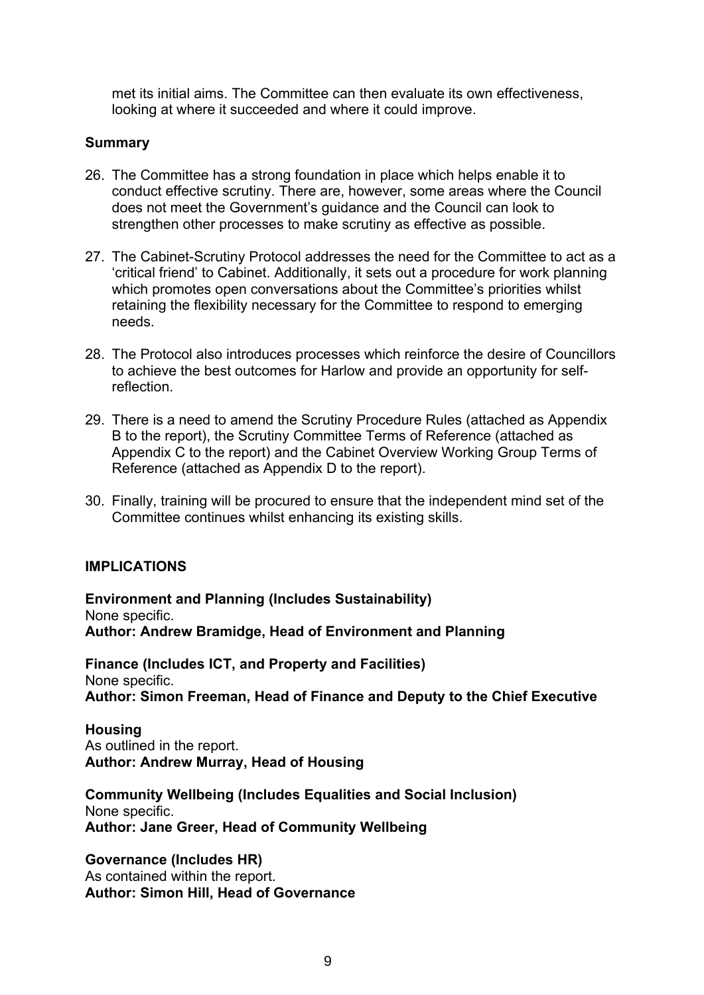met its initial aims. The Committee can then evaluate its own effectiveness, looking at where it succeeded and where it could improve.

#### **Summary**

- 26. The Committee has a strong foundation in place which helps enable it to conduct effective scrutiny. There are, however, some areas where the Council does not meet the Government's guidance and the Council can look to strengthen other processes to make scrutiny as effective as possible.
- 27. The Cabinet-Scrutiny Protocol addresses the need for the Committee to act as a 'critical friend' to Cabinet. Additionally, it sets out a procedure for work planning which promotes open conversations about the Committee's priorities whilst retaining the flexibility necessary for the Committee to respond to emerging needs.
- 28. The Protocol also introduces processes which reinforce the desire of Councillors to achieve the best outcomes for Harlow and provide an opportunity for selfreflection.
- 29. There is a need to amend the Scrutiny Procedure Rules (attached as Appendix B to the report), the Scrutiny Committee Terms of Reference (attached as Appendix C to the report) and the Cabinet Overview Working Group Terms of Reference (attached as Appendix D to the report).
- 30. Finally, training will be procured to ensure that the independent mind set of the Committee continues whilst enhancing its existing skills.

#### **IMPLICATIONS**

**Environment and Planning (Includes Sustainability)** None specific. **Author: Andrew Bramidge, Head of Environment and Planning**

**Finance (Includes ICT, and Property and Facilities)** None specific. **Author: Simon Freeman, Head of Finance and Deputy to the Chief Executive**

**Housing** As outlined in the report. **Author: Andrew Murray, Head of Housing**

**Community Wellbeing (Includes Equalities and Social Inclusion)** None specific. **Author: Jane Greer, Head of Community Wellbeing**

**Governance (Includes HR)** As contained within the report. **Author: Simon Hill, Head of Governance**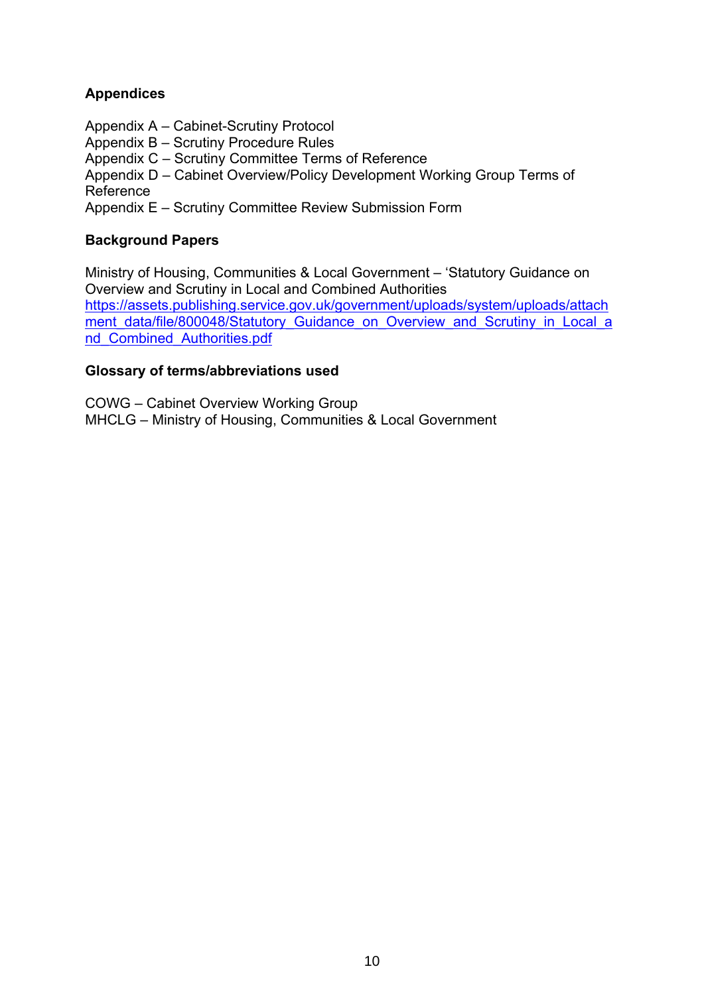# **Appendices**

- Appendix A Cabinet-Scrutiny Protocol
- Appendix B Scrutiny Procedure Rules

Appendix C – Scrutiny Committee Terms of Reference

Appendix D – Cabinet Overview/Policy Development Working Group Terms of Reference

Appendix E – Scrutiny Committee Review Submission Form

# **Background Papers**

Ministry of Housing, Communities & Local Government – 'Statutory Guidance on Overview and Scrutiny in Local and Combined Authorities [https://assets.publishing.service.gov.uk/government/uploads/system/uploads/attach](https://assets.publishing.service.gov.uk/government/uploads/system/uploads/attachment_data/file/800048/Statutory_Guidance_on_Overview_and_Scrutiny_in_Local_and_Combined_Authorities.pdf) [ment\\_data/file/800048/Statutory\\_Guidance\\_on\\_Overview\\_and\\_Scrutiny\\_in\\_Local\\_a](https://assets.publishing.service.gov.uk/government/uploads/system/uploads/attachment_data/file/800048/Statutory_Guidance_on_Overview_and_Scrutiny_in_Local_and_Combined_Authorities.pdf) [nd\\_Combined\\_Authorities.pdf](https://assets.publishing.service.gov.uk/government/uploads/system/uploads/attachment_data/file/800048/Statutory_Guidance_on_Overview_and_Scrutiny_in_Local_and_Combined_Authorities.pdf)

# **Glossary of terms/abbreviations used**

COWG – Cabinet Overview Working Group MHCLG – Ministry of Housing, Communities & Local Government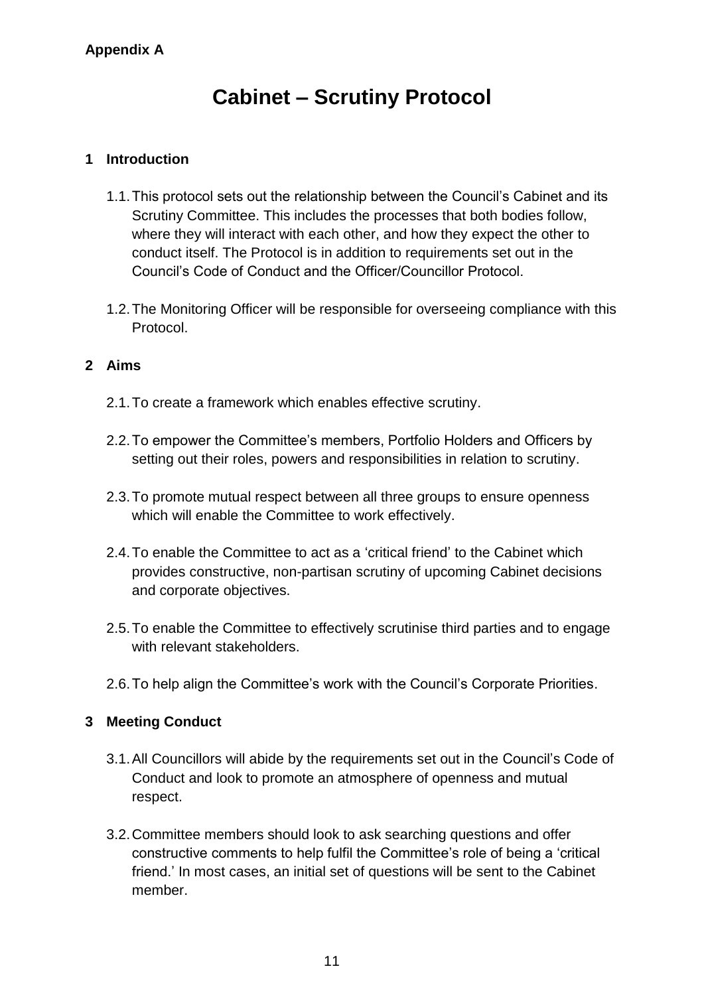# **Cabinet – Scrutiny Protocol**

# **1 Introduction**

- 1.1.This protocol sets out the relationship between the Council's Cabinet and its Scrutiny Committee. This includes the processes that both bodies follow, where they will interact with each other, and how they expect the other to conduct itself. The Protocol is in addition to requirements set out in the Council's Code of Conduct and the Officer/Councillor Protocol.
- 1.2.The Monitoring Officer will be responsible for overseeing compliance with this Protocol.

# **2 Aims**

- 2.1.To create a framework which enables effective scrutiny.
- 2.2.To empower the Committee's members, Portfolio Holders and Officers by setting out their roles, powers and responsibilities in relation to scrutiny.
- 2.3.To promote mutual respect between all three groups to ensure openness which will enable the Committee to work effectively.
- 2.4.To enable the Committee to act as a 'critical friend' to the Cabinet which provides constructive, non-partisan scrutiny of upcoming Cabinet decisions and corporate objectives.
- 2.5.To enable the Committee to effectively scrutinise third parties and to engage with relevant stakeholders.
- 2.6.To help align the Committee's work with the Council's Corporate Priorities.

# **3 Meeting Conduct**

- 3.1.All Councillors will abide by the requirements set out in the Council's Code of Conduct and look to promote an atmosphere of openness and mutual respect.
- 3.2.Committee members should look to ask searching questions and offer constructive comments to help fulfil the Committee's role of being a 'critical friend.' In most cases, an initial set of questions will be sent to the Cabinet member.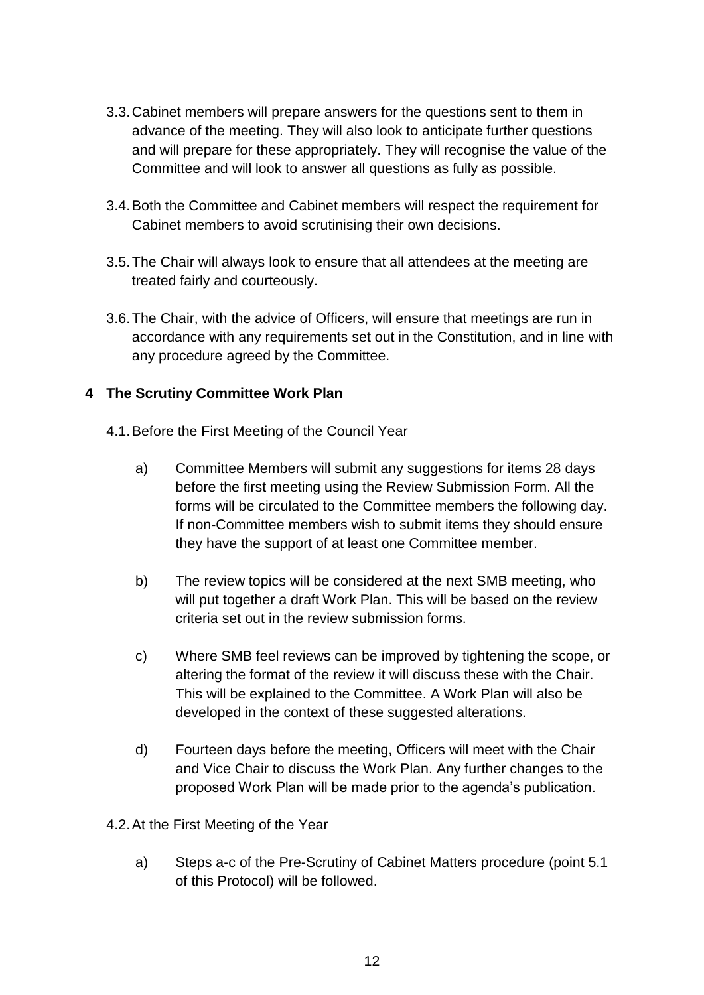- 3.3.Cabinet members will prepare answers for the questions sent to them in advance of the meeting. They will also look to anticipate further questions and will prepare for these appropriately. They will recognise the value of the Committee and will look to answer all questions as fully as possible.
- 3.4.Both the Committee and Cabinet members will respect the requirement for Cabinet members to avoid scrutinising their own decisions.
- 3.5.The Chair will always look to ensure that all attendees at the meeting are treated fairly and courteously.
- 3.6.The Chair, with the advice of Officers, will ensure that meetings are run in accordance with any requirements set out in the Constitution, and in line with any procedure agreed by the Committee.

# **4 The Scrutiny Committee Work Plan**

- 4.1.Before the First Meeting of the Council Year
	- a) Committee Members will submit any suggestions for items 28 days before the first meeting using the Review Submission Form. All the forms will be circulated to the Committee members the following day. If non-Committee members wish to submit items they should ensure they have the support of at least one Committee member.
	- b) The review topics will be considered at the next SMB meeting, who will put together a draft Work Plan. This will be based on the review criteria set out in the review submission forms.
	- c) Where SMB feel reviews can be improved by tightening the scope, or altering the format of the review it will discuss these with the Chair. This will be explained to the Committee. A Work Plan will also be developed in the context of these suggested alterations.
	- d) Fourteen days before the meeting, Officers will meet with the Chair and Vice Chair to discuss the Work Plan. Any further changes to the proposed Work Plan will be made prior to the agenda's publication.
- 4.2.At the First Meeting of the Year
	- a) Steps a-c of the Pre-Scrutiny of Cabinet Matters procedure (point 5.1 of this Protocol) will be followed.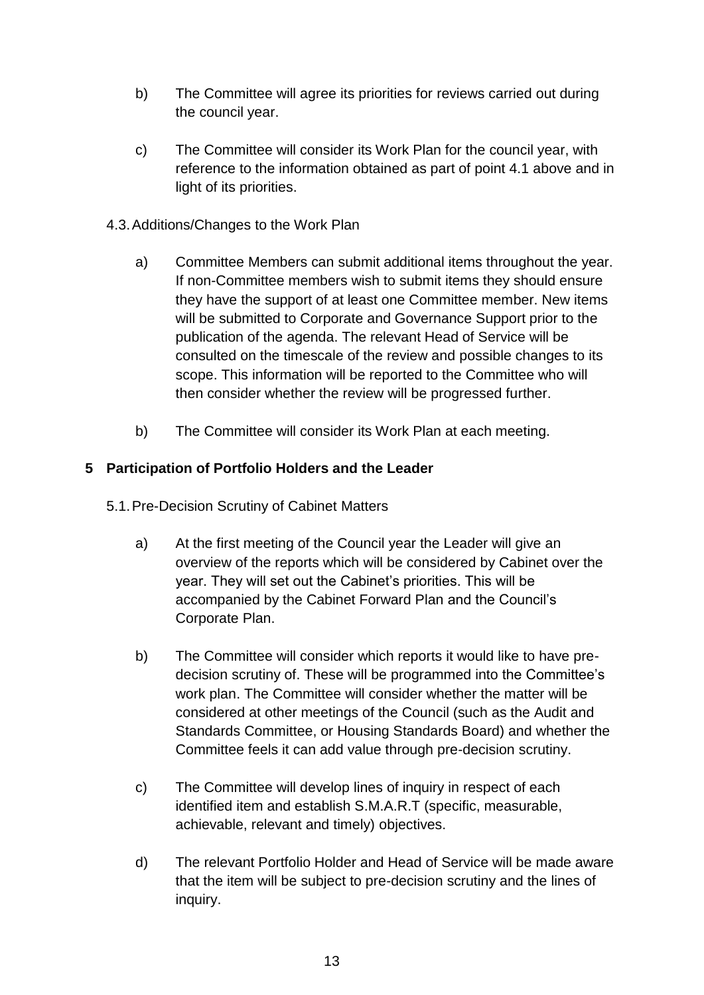- b) The Committee will agree its priorities for reviews carried out during the council year.
- c) The Committee will consider its Work Plan for the council year, with reference to the information obtained as part of point 4.1 above and in light of its priorities.
- 4.3.Additions/Changes to the Work Plan
	- a) Committee Members can submit additional items throughout the year. If non-Committee members wish to submit items they should ensure they have the support of at least one Committee member. New items will be submitted to Corporate and Governance Support prior to the publication of the agenda. The relevant Head of Service will be consulted on the timescale of the review and possible changes to its scope. This information will be reported to the Committee who will then consider whether the review will be progressed further.
	- b) The Committee will consider its Work Plan at each meeting.

# **5 Participation of Portfolio Holders and the Leader**

- 5.1.Pre-Decision Scrutiny of Cabinet Matters
	- a) At the first meeting of the Council year the Leader will give an overview of the reports which will be considered by Cabinet over the year. They will set out the Cabinet's priorities. This will be accompanied by the Cabinet Forward Plan and the Council's Corporate Plan.
	- b) The Committee will consider which reports it would like to have predecision scrutiny of. These will be programmed into the Committee's work plan. The Committee will consider whether the matter will be considered at other meetings of the Council (such as the Audit and Standards Committee, or Housing Standards Board) and whether the Committee feels it can add value through pre-decision scrutiny.
	- c) The Committee will develop lines of inquiry in respect of each identified item and establish S.M.A.R.T (specific, measurable, achievable, relevant and timely) objectives.
	- d) The relevant Portfolio Holder and Head of Service will be made aware that the item will be subject to pre-decision scrutiny and the lines of inquiry.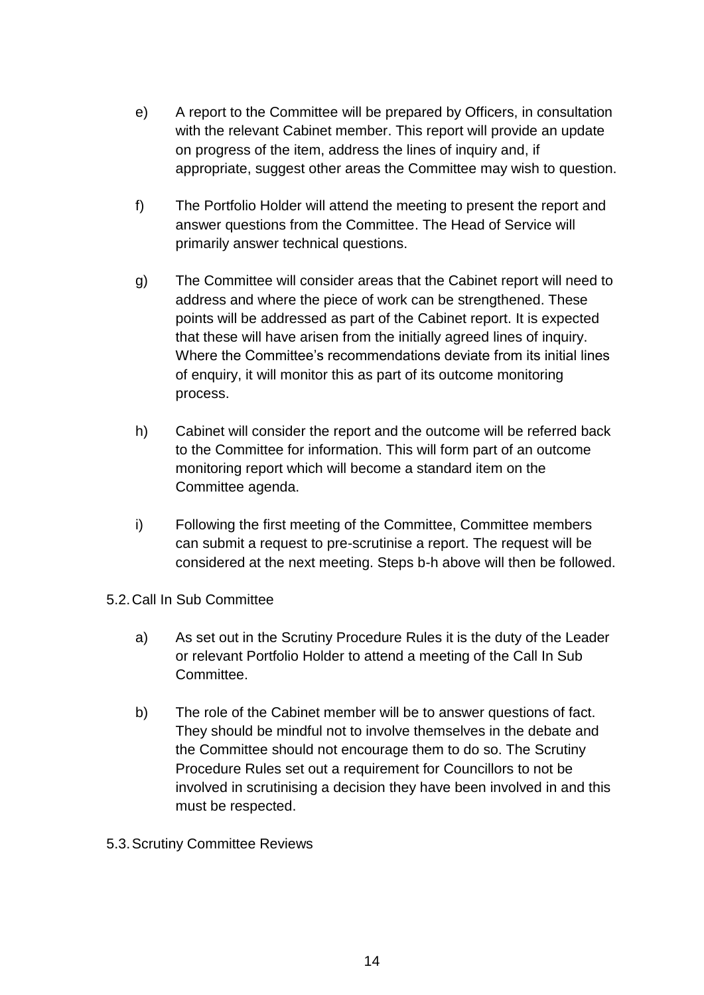- e) A report to the Committee will be prepared by Officers, in consultation with the relevant Cabinet member. This report will provide an update on progress of the item, address the lines of inquiry and, if appropriate, suggest other areas the Committee may wish to question.
- f) The Portfolio Holder will attend the meeting to present the report and answer questions from the Committee. The Head of Service will primarily answer technical questions.
- g) The Committee will consider areas that the Cabinet report will need to address and where the piece of work can be strengthened. These points will be addressed as part of the Cabinet report. It is expected that these will have arisen from the initially agreed lines of inquiry. Where the Committee's recommendations deviate from its initial lines of enquiry, it will monitor this as part of its outcome monitoring process.
- h) Cabinet will consider the report and the outcome will be referred back to the Committee for information. This will form part of an outcome monitoring report which will become a standard item on the Committee agenda.
- i) Following the first meeting of the Committee, Committee members can submit a request to pre-scrutinise a report. The request will be considered at the next meeting. Steps b-h above will then be followed.
- 5.2.Call In Sub Committee
	- a) As set out in the Scrutiny Procedure Rules it is the duty of the Leader or relevant Portfolio Holder to attend a meeting of the Call In Sub Committee.
	- b) The role of the Cabinet member will be to answer questions of fact. They should be mindful not to involve themselves in the debate and the Committee should not encourage them to do so. The Scrutiny Procedure Rules set out a requirement for Councillors to not be involved in scrutinising a decision they have been involved in and this must be respected.
- 5.3.Scrutiny Committee Reviews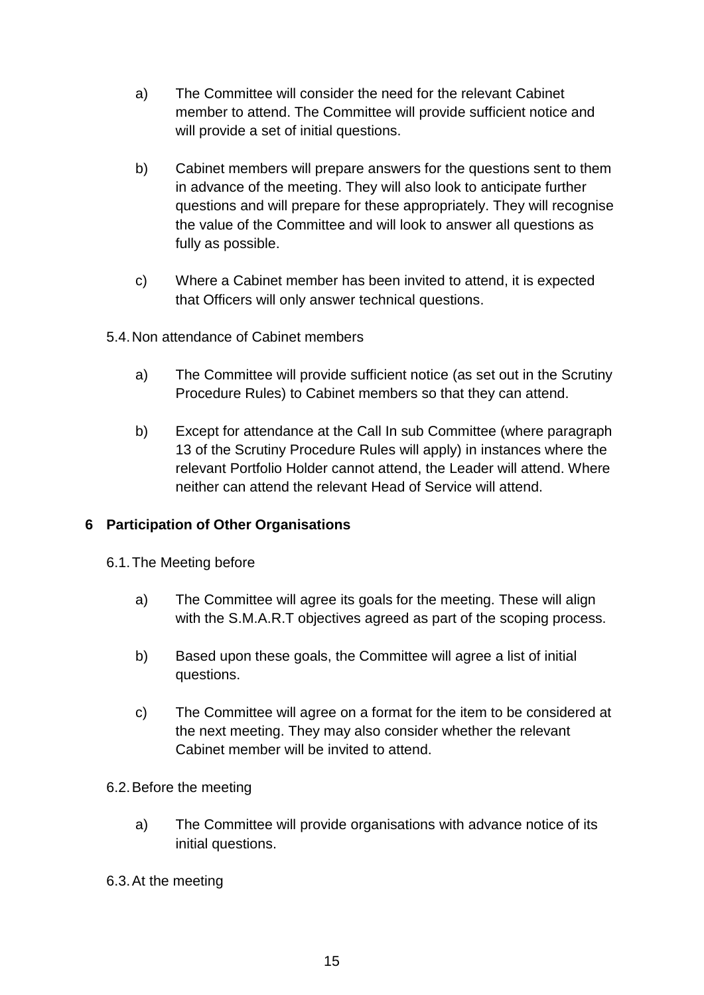- a) The Committee will consider the need for the relevant Cabinet member to attend. The Committee will provide sufficient notice and will provide a set of initial questions.
- b) Cabinet members will prepare answers for the questions sent to them in advance of the meeting. They will also look to anticipate further questions and will prepare for these appropriately. They will recognise the value of the Committee and will look to answer all questions as fully as possible.
- c) Where a Cabinet member has been invited to attend, it is expected that Officers will only answer technical questions.
- 5.4.Non attendance of Cabinet members
	- a) The Committee will provide sufficient notice (as set out in the Scrutiny Procedure Rules) to Cabinet members so that they can attend.
	- b) Except for attendance at the Call In sub Committee (where paragraph 13 of the Scrutiny Procedure Rules will apply) in instances where the relevant Portfolio Holder cannot attend, the Leader will attend. Where neither can attend the relevant Head of Service will attend.

# **6 Participation of Other Organisations**

- 6.1.The Meeting before
	- a) The Committee will agree its goals for the meeting. These will align with the S.M.A.R.T objectives agreed as part of the scoping process.
	- b) Based upon these goals, the Committee will agree a list of initial questions.
	- c) The Committee will agree on a format for the item to be considered at the next meeting. They may also consider whether the relevant Cabinet member will be invited to attend.
- 6.2.Before the meeting
	- a) The Committee will provide organisations with advance notice of its initial questions.
- 6.3.At the meeting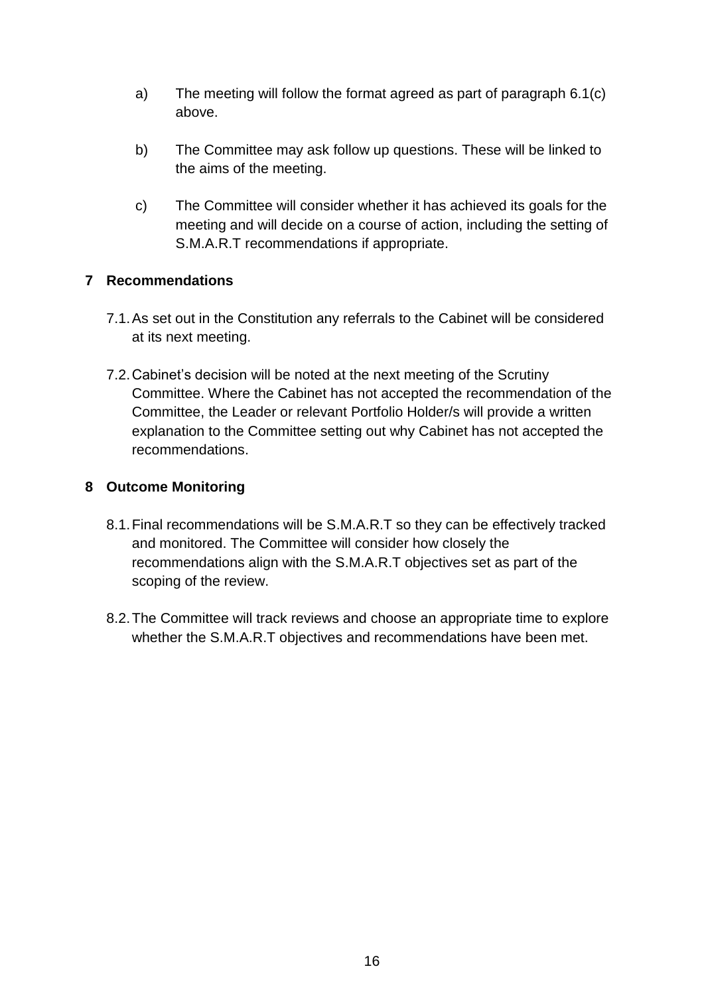- a) The meeting will follow the format agreed as part of paragraph 6.1(c) above.
- b) The Committee may ask follow up questions. These will be linked to the aims of the meeting.
- c) The Committee will consider whether it has achieved its goals for the meeting and will decide on a course of action, including the setting of S.M.A.R.T recommendations if appropriate.

# **7 Recommendations**

- 7.1.As set out in the Constitution any referrals to the Cabinet will be considered at its next meeting.
- 7.2.Cabinet's decision will be noted at the next meeting of the Scrutiny Committee. Where the Cabinet has not accepted the recommendation of the Committee, the Leader or relevant Portfolio Holder/s will provide a written explanation to the Committee setting out why Cabinet has not accepted the recommendations.

# **8 Outcome Monitoring**

- 8.1.Final recommendations will be S.M.A.R.T so they can be effectively tracked and monitored. The Committee will consider how closely the recommendations align with the S.M.A.R.T objectives set as part of the scoping of the review.
- 8.2.The Committee will track reviews and choose an appropriate time to explore whether the S.M.A.R.T objectives and recommendations have been met.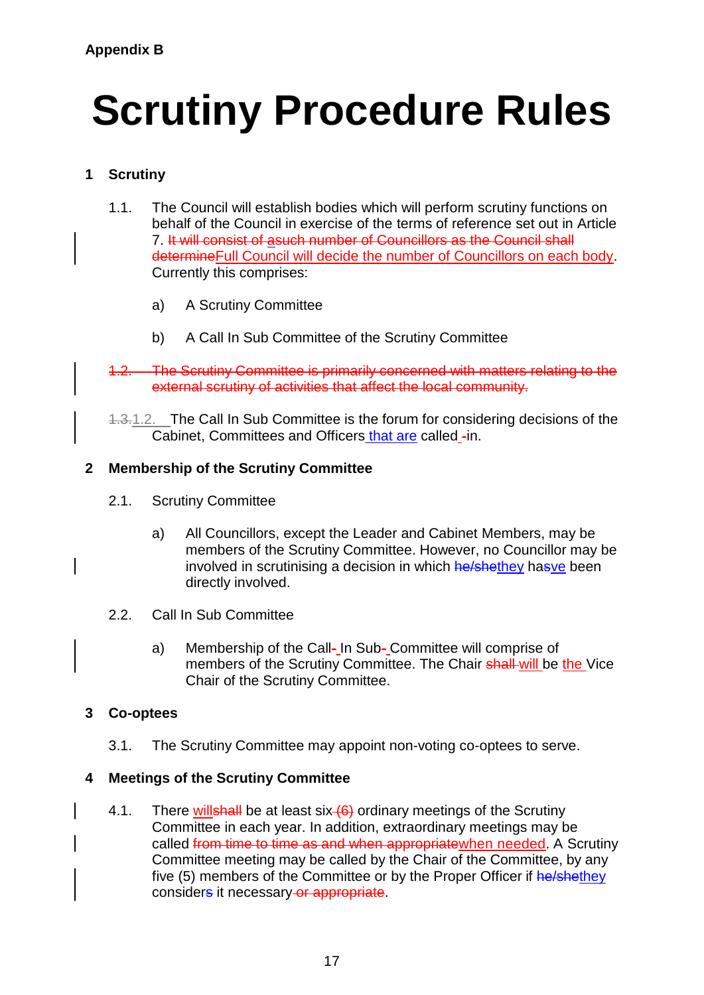# **Scrutiny Procedure Rules**

# **1 Scrutiny**

- 1.1. The Council will establish bodies which will perform scrutiny functions on behalf of the Council in exercise of the terms of reference set out in Article 7. It will consist of asuch number of Councillors as the Council shall determineFull Council will decide the number of Councillors on each body. Currently this comprises:
	- a) A Scrutiny Committee
	- b) A Call In Sub Committee of the Scrutiny Committee
- 1.2. The Scrutiny Committee is primarily concerned with matters relating to the external scrutiny of activities that affect the local community.

1.3.1.2. The Call In Sub Committee is the forum for considering decisions of the Cabinet, Committees and Officers that are called -in.

# **2 Membership of the Scrutiny Committee**

- 2.1. Scrutiny Committee
	- a) All Councillors, except the Leader and Cabinet Members, may be members of the Scrutiny Committee. However, no Councillor may be involved in scrutinising a decision in which he/shethey hasve been directly involved.
- 2.2. Call In Sub Committee
	- a) Membership of the Call- In Sub- Committee will comprise of members of the Scrutiny Committee. The Chair shall will be the Vice Chair of the Scrutiny Committee.

# **3 Co-optees**

3.1. The Scrutiny Committee may appoint non-voting co-optees to serve.

# **4 Meetings of the Scrutiny Committee**

4.1. There willshall be at least six  $(6)$  ordinary meetings of the Scrutiny Committee in each year. In addition, extraordinary meetings may be called from time to time as and when appropriate when needed. A Scrutiny Committee meeting may be called by the Chair of the Committee, by any five (5) members of the Committee or by the Proper Officer if he/shethey considers it necessary or appropriate.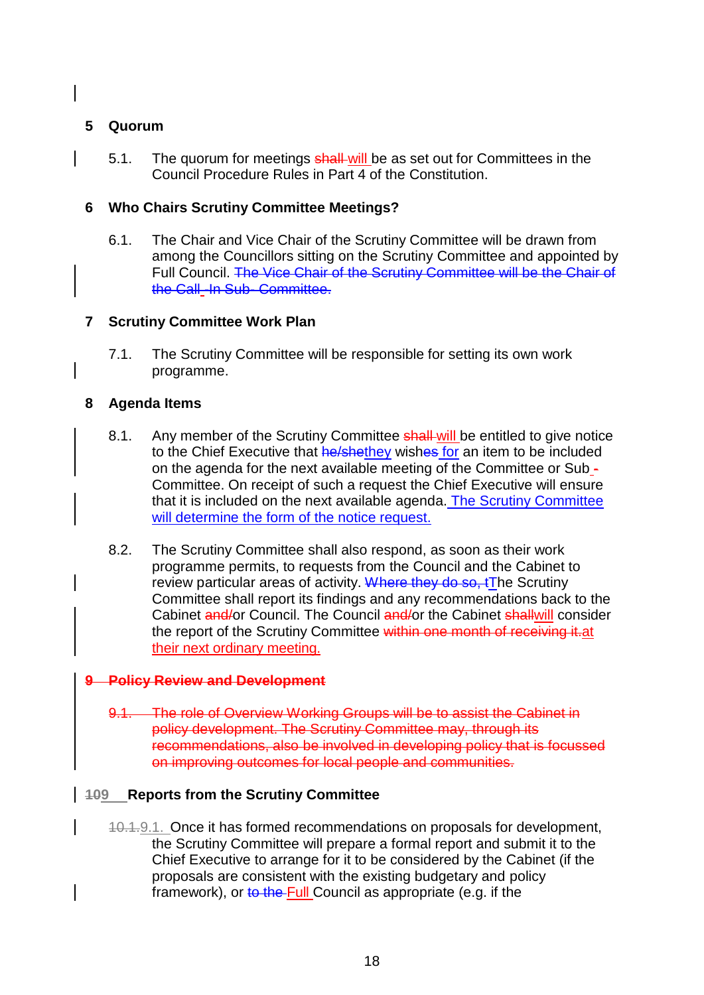## **5 Quorum**

5.1. The quorum for meetings shall-will be as set out for Committees in the Council Procedure Rules in Part 4 of the Constitution.

## **6 Who Chairs Scrutiny Committee Meetings?**

6.1. The Chair and Vice Chair of the Scrutiny Committee will be drawn from among the Councillors sitting on the Scrutiny Committee and appointed by Full Council. The Vice Chair of the Scrutiny Committee will be the Chair of the Call\_-In Sub- Committee.

#### **7 Scrutiny Committee Work Plan**

7.1. The Scrutiny Committee will be responsible for setting its own work programme.

#### **8 Agenda Items**

- 8.1. Any member of the Scrutiny Committee shall-will be entitled to give notice to the Chief Executive that he/shethey wishes for an item to be included on the agenda for the next available meeting of the Committee or Sub - Committee. On receipt of such a request the Chief Executive will ensure that it is included on the next available agenda. The Scrutiny Committee will determine the form of the notice request.
- 8.2. The Scrutiny Committee shall also respond, as soon as their work programme permits, to requests from the Council and the Cabinet to review particular areas of activity. Where they do so, tThe Scrutiny Committee shall report its findings and any recommendations back to the Cabinet and/or Council. The Council and/or the Cabinet shallwill consider the report of the Scrutiny Committee within one month of receiving it at their next ordinary meeting.

#### **9 Policy Review and Development**

9.1. The role of Overview Working Groups will be to assist the Cabinet in policy development. The Scrutiny Committee may, through its recommendations, also be involved in developing policy that is focussed on improving outcomes for local people and communities.

#### **109 Reports from the Scrutiny Committee**

10.1.9.1. Once it has formed recommendations on proposals for development, the Scrutiny Committee will prepare a formal report and submit it to the Chief Executive to arrange for it to be considered by the Cabinet (if the proposals are consistent with the existing budgetary and policy framework), or to the Full Council as appropriate (e.g. if the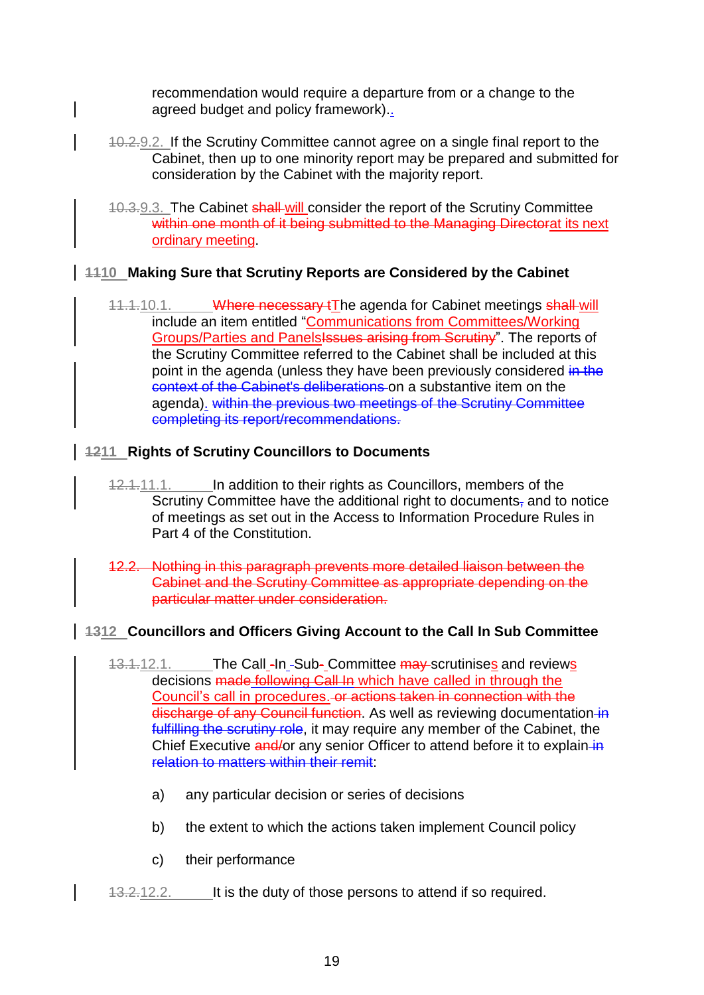recommendation would require a departure from or a change to the agreed budget and policy framework)..

- 10.2.9.2. If the Scrutiny Committee cannot agree on a single final report to the Cabinet, then up to one minority report may be prepared and submitted for consideration by the Cabinet with the majority report.
- 10.3.9.3. The Cabinet shall will consider the report of the Scrutiny Committee within one month of it being submitted to the Managing Directorat its next ordinary meeting.

# **1110 Making Sure that Scrutiny Reports are Considered by the Cabinet**

11.1.10.1. Where necessary tThe agenda for Cabinet meetings shall will include an item entitled "Communications from Committees/Working Groups/Parties and Panels<del>Issues arising from Scrutiny</del>". The reports of the Scrutiny Committee referred to the Cabinet shall be included at this point in the agenda (unless they have been previously considered in the context of the Cabinet's deliberations on a substantive item on the agenda). within the previous two meetings of the Scrutiny Committee completing its report/recommendations.

# **1211 Rights of Scrutiny Councillors to Documents**

- 12.1.11.1. In addition to their rights as Councillors, members of the Scrutiny Committee have the additional right to documents, and to notice of meetings as set out in the Access to Information Procedure Rules in Part 4 of the Constitution.
- 12.2. Nothing in this paragraph prevents more detailed liaison between the Cabinet and the Scrutiny Committee as appropriate depending on the particular matter under consideration.

# **1312 Councillors and Officers Giving Account to the Call In Sub Committee**

- 13.1.12.1. The Call -In -Sub- Committee may scrutinises and reviews decisions made following Call In which have called in through the Council's call in procedures. or actions taken in connection with the discharge of any Council function. As well as reviewing documentation in fulfilling the scrutiny role, it may require any member of the Cabinet, the Chief Executive and/or any senior Officer to attend before it to explain-in relation to matters within their remit:
	- a) any particular decision or series of decisions
	- b) the extent to which the actions taken implement Council policy
	- c) their performance
- 13.2.12.2. It is the duty of those persons to attend if so required.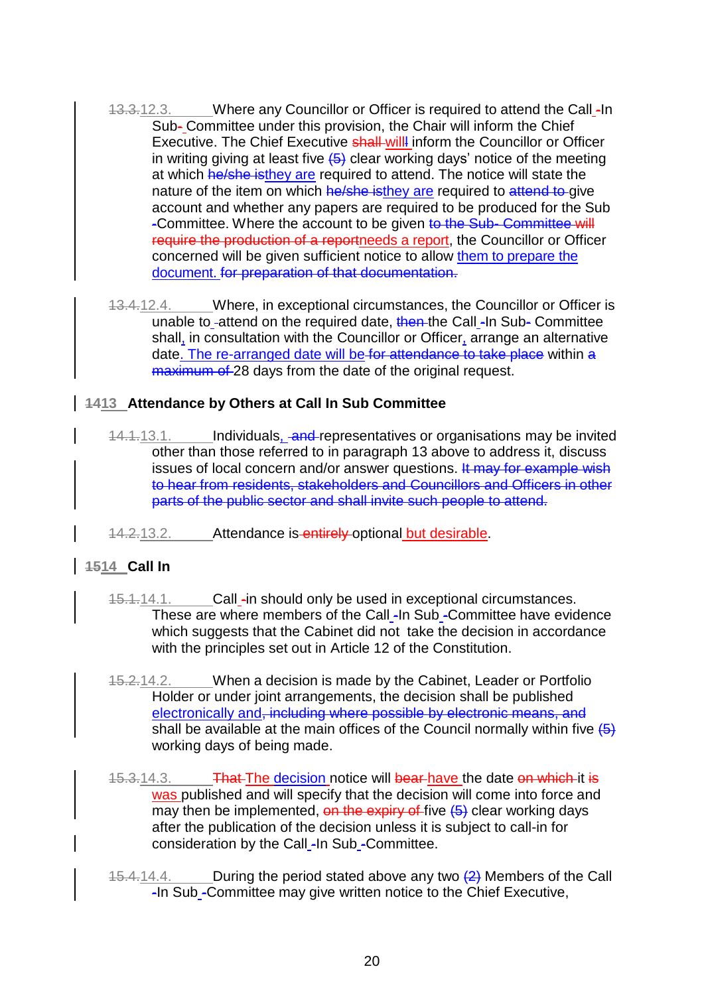- 13.3.12.3. Where any Councillor or Officer is required to attend the Call -In Sub- Committee under this provision, the Chair will inform the Chief Executive. The Chief Executive shall will inform the Councillor or Officer in writing giving at least five  $\left(5\right)$  clear working days' notice of the meeting at which he/she isthey are required to attend. The notice will state the nature of the item on which he/she isthey are required to attend to give account and whether any papers are required to be produced for the Sub -Committee. Where the account to be given to the Sub- Committee will require the production of a reportneeds a report, the Councillor or Officer concerned will be given sufficient notice to allow them to prepare the document. for preparation of that documentation.
- 13.4.12.4. Where, in exceptional circumstances, the Councillor or Officer is unable to -attend on the required date, then the Call -In Sub- Committee shall, in consultation with the Councillor or Officer, arrange an alternative date. The re-arranged date will be for attendance to take place within a maximum of 28 days from the date of the original request.

#### **1413 Attendance by Others at Call In Sub Committee**

- 14.1.13.1. Individuals, and representatives or organisations may be invited other than those referred to in paragraph 13 above to address it, discuss issues of local concern and/or answer questions. It may for example wish to hear from residents, stakeholders and Councillors and Officers in other parts of the public sector and shall invite such people to attend.
- 14.2.13.2. Attendance is entirely optional but desirable.

# **1514 Call In**

- 15.1.14.1. Call -in should only be used in exceptional circumstances. These are where members of the Call -In Sub -Committee have evidence which suggests that the Cabinet did not take the decision in accordance with the principles set out in Article 12 of the Constitution.
- 15.2.14.2. When a decision is made by the Cabinet, Leader or Portfolio Holder or under joint arrangements, the decision shall be published electronically and, including where possible by electronic means, and shall be available at the main offices of the Council normally within five  $\overline{(5)}$ working days of being made.
- 15.3.14.3. **That The decision notice will bear have the date on which it is** was published and will specify that the decision will come into force and may then be implemented, on the expiry of five  $(5)$  clear working days after the publication of the decision unless it is subject to call-in for consideration by the Call -In Sub -Committee.
- 15.4.14.4. During the period stated above any two  $\left(2\right)$  Members of the Call -In Sub -Committee may give written notice to the Chief Executive,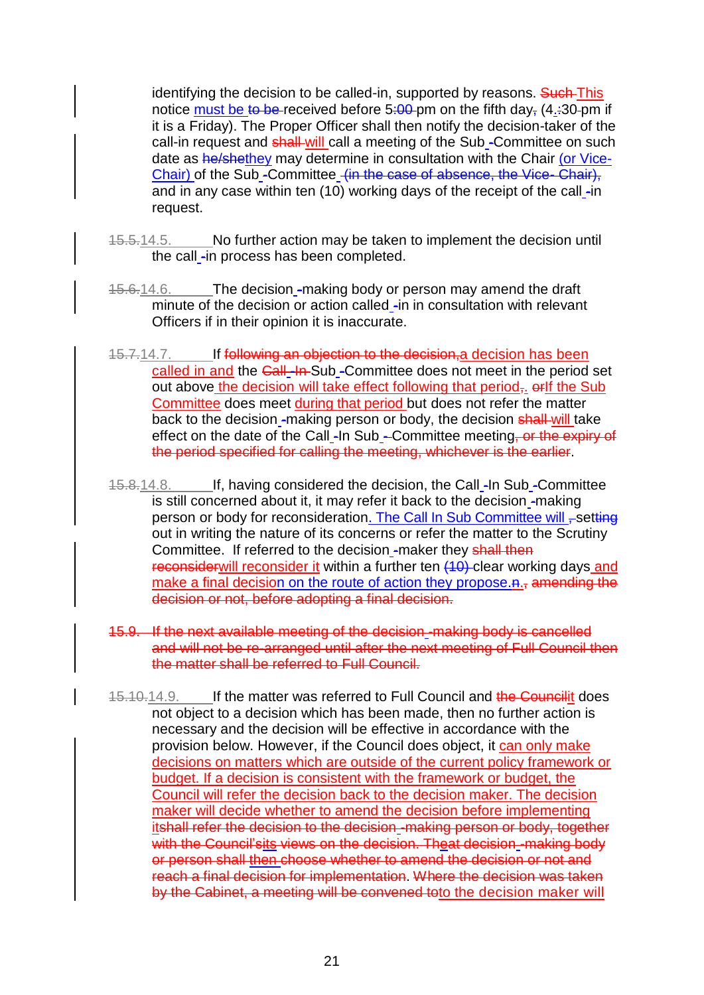identifying the decision to be called-in, supported by reasons. Such This notice must be to be received before 5:00 pm on the fifth day,  $(4.30 \text{pm} \text{m})$  if it is a Friday). The Proper Officer shall then notify the decision-taker of the call-in request and shall-will call a meeting of the Sub-Committee on such date as he/shethey may determine in consultation with the Chair (or Vice-Chair) of the Sub -Committee (in the case of absence, the Vice- Chair), and in any case within ten  $(10)$  working days of the receipt of the call -in request.

- 15.5.14.5. No further action may be taken to implement the decision until the call -in process has been completed.
- 15.6.14.6. The decision -making body or person may amend the draft minute of the decision or action called -in in consultation with relevant Officers if in their opinion it is inaccurate.
- 15.7.14.7. If following an objection to the decision, a decision has been called in and the Call -In-Sub -Committee does not meet in the period set out above the decision will take effect following that period<sub>r</sub>, orlf the Sub Committee does meet during that period but does not refer the matter back to the decision -making person or body, the decision shall-will take effect on the date of the Call -In Sub - Committee meeting, or the expiry of the period specified for calling the meeting, whichever is the earlier.
- 15.8.14.8. If, having considered the decision, the Call -In Sub -Committee is still concerned about it, it may refer it back to the decision -making person or body for reconsideration. The Call In Sub Committee will , setting out in writing the nature of its concerns or refer the matter to the Scrutiny Committee. If referred to the decision\_-maker they shall then reconsiderwill reconsider it within a further ten (10) clear working days and make a final decision on the route of action they propose.n., amending the decision or not, before adopting a final decision.
- 15.9. If the next available meeting of the decision -making body is cancelled and will not be re-arranged until after the next meeting of Full Council then the matter shall be referred to Full Council.
- 15.10.14.9. If the matter was referred to Full Council and the Councilit does not object to a decision which has been made, then no further action is necessary and the decision will be effective in accordance with the provision below. However, if the Council does object, it can only make decisions on matters which are outside of the current policy framework or budget. If a decision is consistent with the framework or budget, the Council will refer the decision back to the decision maker. The decision maker will decide whether to amend the decision before implementing itshall refer the decision to the decision -making person or body, together with the Council'sits views on the decision. Theat decision-making body or person shall then choose whether to amend the decision or not and reach a final decision for implementation. Where the decision was taken by the Cabinet, a meeting will be convened toto the decision maker will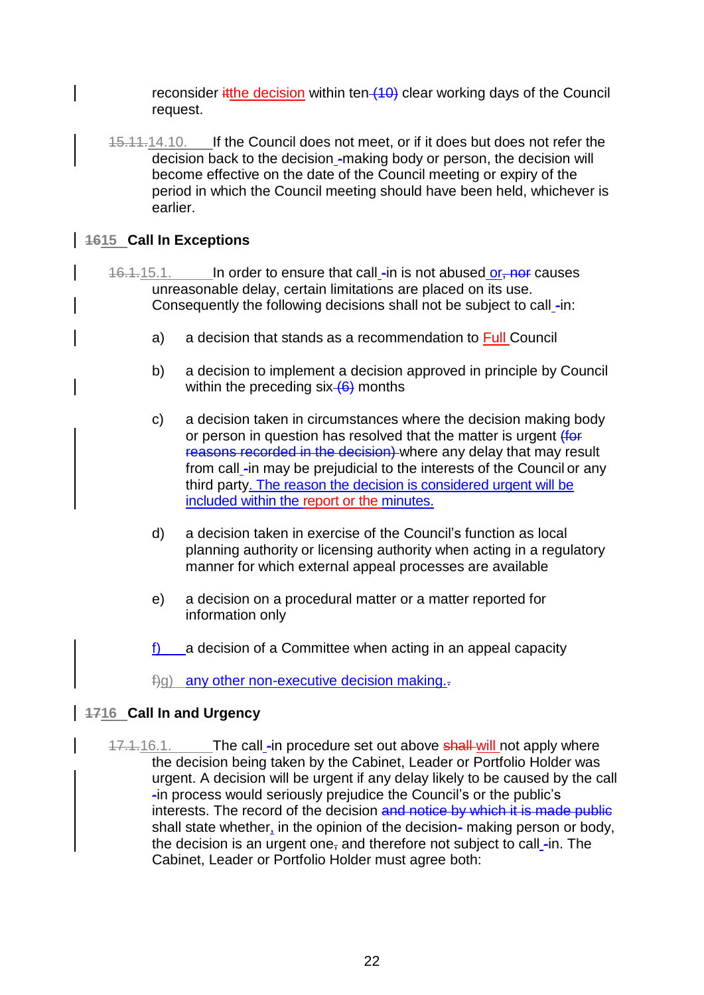reconsider  $\frac{a}{b}$  ithe decision within ten  $(10)$  clear working days of the Council request.

15.11.14.10. If the Council does not meet, or if it does but does not refer the decision back to the decision -making body or person, the decision will become effective on the date of the Council meeting or expiry of the period in which the Council meeting should have been held, whichever is earlier.

# **1615 Call In Exceptions**

- 16.1.15.1. In order to ensure that call -in is not abused or, not causes unreasonable delay, certain limitations are placed on its use. Consequently the following decisions shall not be subject to call -in:
	- a) a decision that stands as a recommendation to Full Council
	- b) a decision to implement a decision approved in principle by Council within the preceding  $six$  (6) months
	- c) a decision taken in circumstances where the decision making body or person in question has resolved that the matter is urgent (for reasons recorded in the decision) where any delay that may result from call -in may be prejudicial to the interests of the Council or any third party. The reason the decision is considered urgent will be included within the report or the minutes.
	- d) a decision taken in exercise of the Council's function as local planning authority or licensing authority when acting in a regulatory manner for which external appeal processes are available
	- e) a decision on a procedural matter or a matter reported for information only
	- f) a decision of a Committee when acting in an appeal capacity
	- $\pm$ q) any other non-executive decision making. $\pm$

# **1716 Call In and Urgency**

17.1.16.1. The call -in procedure set out above shall-will not apply where the decision being taken by the Cabinet, Leader or Portfolio Holder was urgent. A decision will be urgent if any delay likely to be caused by the call -in process would seriously prejudice the Council's or the public's interests. The record of the decision and notice by which it is made public shall state whether, in the opinion of the decision- making person or body, the decision is an urgent one, and therefore not subject to call  $\text{-}$ in. The Cabinet, Leader or Portfolio Holder must agree both: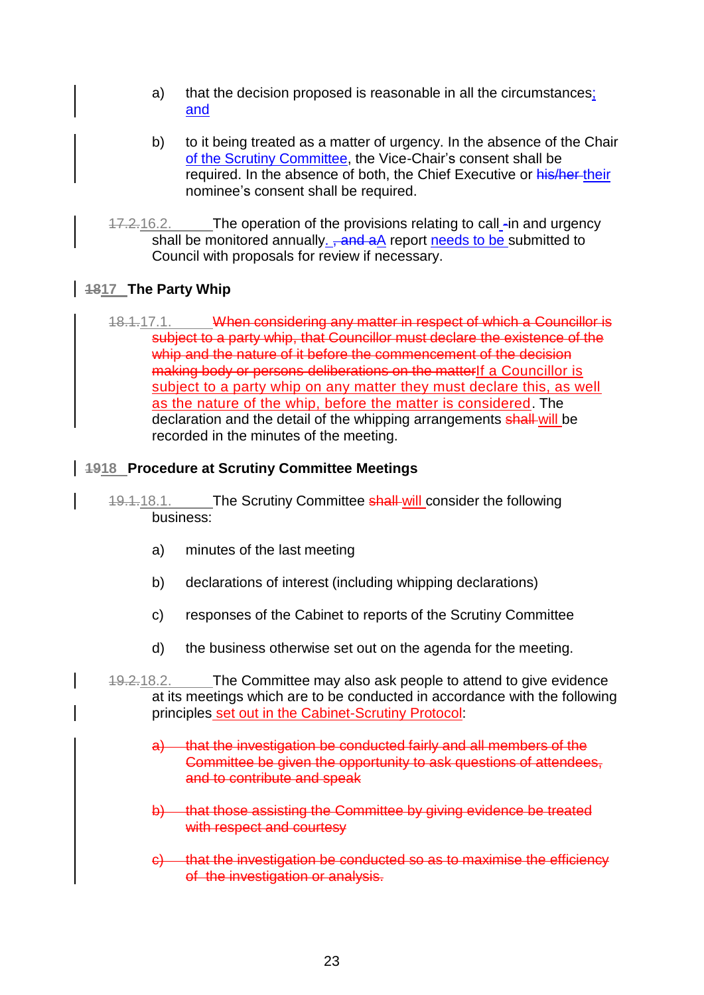- a) that the decision proposed is reasonable in all the circumstances; and
- b) to it being treated as a matter of urgency. In the absence of the Chair of the Scrutiny Committee, the Vice-Chair's consent shall be required. In the absence of both, the Chief Executive or his/her-their nominee's consent shall be required.
- 17.2.16.2. The operation of the provisions relating to call -in and urgency shall be monitored annually. <del>, and a</del>A report needs to be submitted to Council with proposals for review if necessary.

# **1817 The Party Whip**

18.1.17.1. When considering any matter in respect of which a Councillor is subject to a party whip, that Councillor must declare the existence of the whip and the nature of it before the commencement of the decision making body or persons deliberations on the matterIf a Councillor is subject to a party whip on any matter they must declare this, as well as the nature of the whip, before the matter is considered. The declaration and the detail of the whipping arrangements shall will be recorded in the minutes of the meeting.

#### **1918 Procedure at Scrutiny Committee Meetings**

- 19.1.18.1. The Scrutiny Committee shall-will consider the following business:
	- a) minutes of the last meeting
	- b) declarations of interest (including whipping declarations)
	- c) responses of the Cabinet to reports of the Scrutiny Committee
	- d) the business otherwise set out on the agenda for the meeting.
- 19.2.18.2. The Committee may also ask people to attend to give evidence at its meetings which are to be conducted in accordance with the following principles set out in the Cabinet-Scrutiny Protocol:
	- a) that the investigation be conducted fairly and all members of the Committee be given the opportunity to ask questions of attendees, and to contribute and speak
	- b) that those assisting the Committee by giving evidence be treated with respect and courtesy
	- c) that the investigation be conducted so as to maximise the efficiency of the investigation or analysis.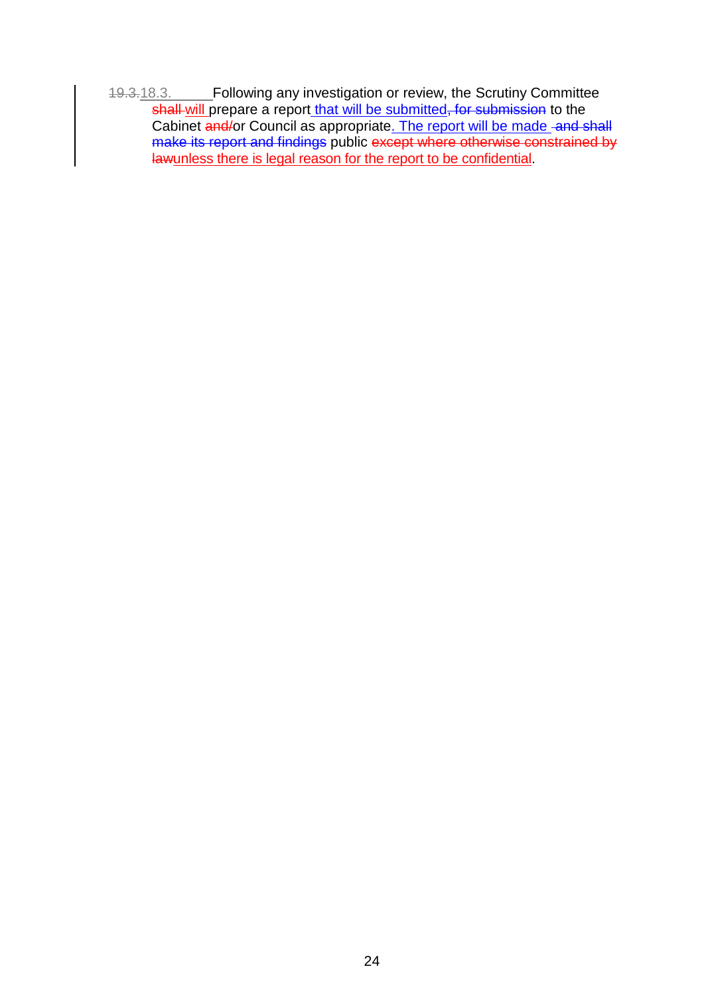19.3.18.3. Following any investigation or review, the Scrutiny Committee shall will prepare a report that will be submitted, for submission to the Cabinet and/or Council as appropriate. The report will be made and shall make its report and findings public except where otherwise constrained by lawunless there is legal reason for the report to be confidential.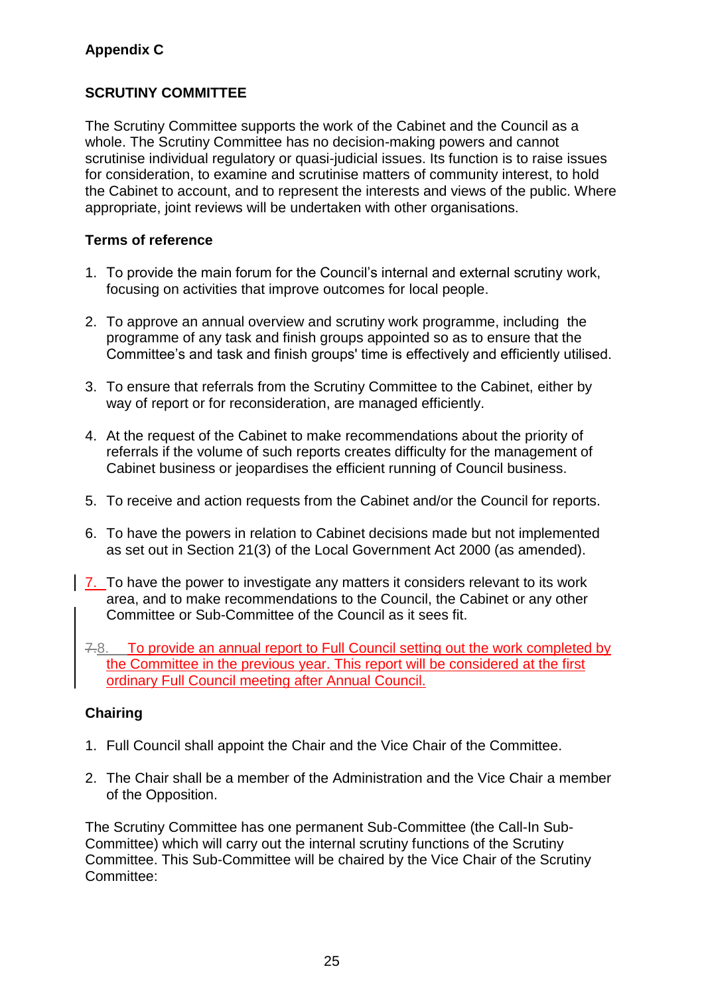# **Appendix C**

# **SCRUTINY COMMITTEE**

The Scrutiny Committee supports the work of the Cabinet and the Council as a whole. The Scrutiny Committee has no decision-making powers and cannot scrutinise individual regulatory or quasi-judicial issues. Its function is to raise issues for consideration, to examine and scrutinise matters of community interest, to hold the Cabinet to account, and to represent the interests and views of the public. Where appropriate, joint reviews will be undertaken with other organisations.

## **Terms of reference**

- 1. To provide the main forum for the Council's internal and external scrutiny work, focusing on activities that improve outcomes for local people.
- 2. To approve an annual overview and scrutiny work programme, including the programme of any task and finish groups appointed so as to ensure that the Committee's and task and finish groups' time is effectively and efficiently utilised.
- 3. To ensure that referrals from the Scrutiny Committee to the Cabinet, either by way of report or for reconsideration, are managed efficiently.
- 4. At the request of the Cabinet to make recommendations about the priority of referrals if the volume of such reports creates difficulty for the management of Cabinet business or jeopardises the efficient running of Council business.
- 5. To receive and action requests from the Cabinet and/or the Council for reports.
- 6. To have the powers in relation to Cabinet decisions made but not implemented as set out in Section 21(3) of the Local Government Act 2000 (as amended).
- 7. To have the power to investigate any matters it considers relevant to its work area, and to make recommendations to the Council, the Cabinet or any other Committee or Sub-Committee of the Council as it sees fit.
- 7.8. To provide an annual report to Full Council setting out the work completed by the Committee in the previous year. This report will be considered at the first ordinary Full Council meeting after Annual Council.

# **Chairing**

- 1. Full Council shall appoint the Chair and the Vice Chair of the Committee.
- 2. The Chair shall be a member of the Administration and the Vice Chair a member of the Opposition.

The Scrutiny Committee has one permanent Sub-Committee (the Call-In Sub-Committee) which will carry out the internal scrutiny functions of the Scrutiny Committee. This Sub-Committee will be chaired by the Vice Chair of the Scrutiny Committee: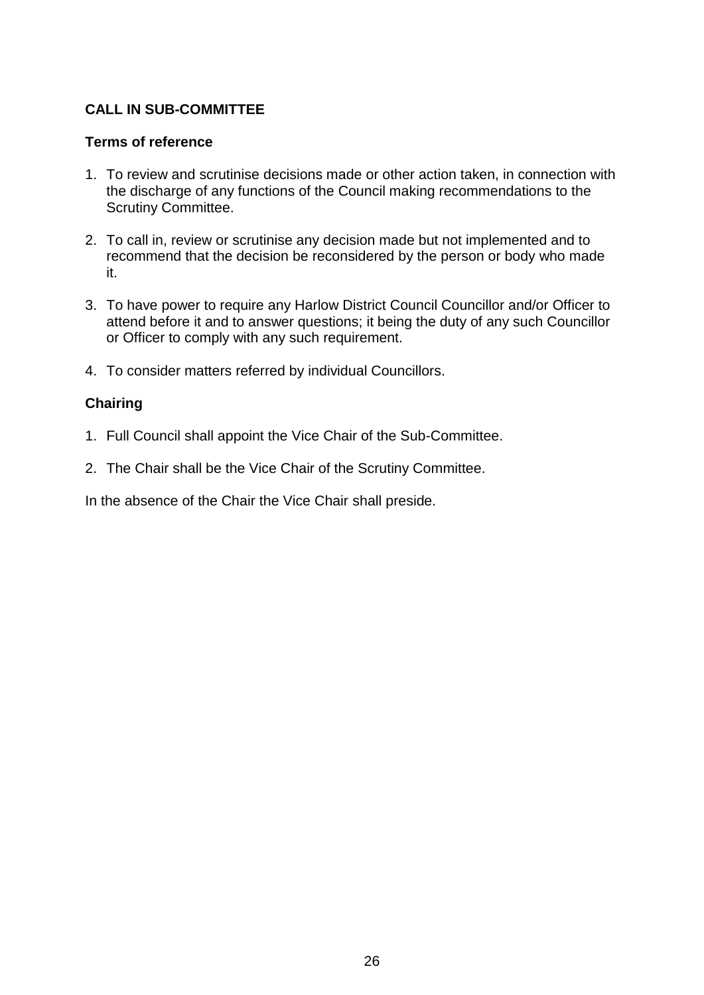# **CALL IN SUB-COMMITTEE**

#### **Terms of reference**

- 1. To review and scrutinise decisions made or other action taken, in connection with the discharge of any functions of the Council making recommendations to the Scrutiny Committee.
- 2. To call in, review or scrutinise any decision made but not implemented and to recommend that the decision be reconsidered by the person or body who made it.
- 3. To have power to require any Harlow District Council Councillor and/or Officer to attend before it and to answer questions; it being the duty of any such Councillor or Officer to comply with any such requirement.
- 4. To consider matters referred by individual Councillors.

#### **Chairing**

- 1. Full Council shall appoint the Vice Chair of the Sub-Committee.
- 2. The Chair shall be the Vice Chair of the Scrutiny Committee.

In the absence of the Chair the Vice Chair shall preside.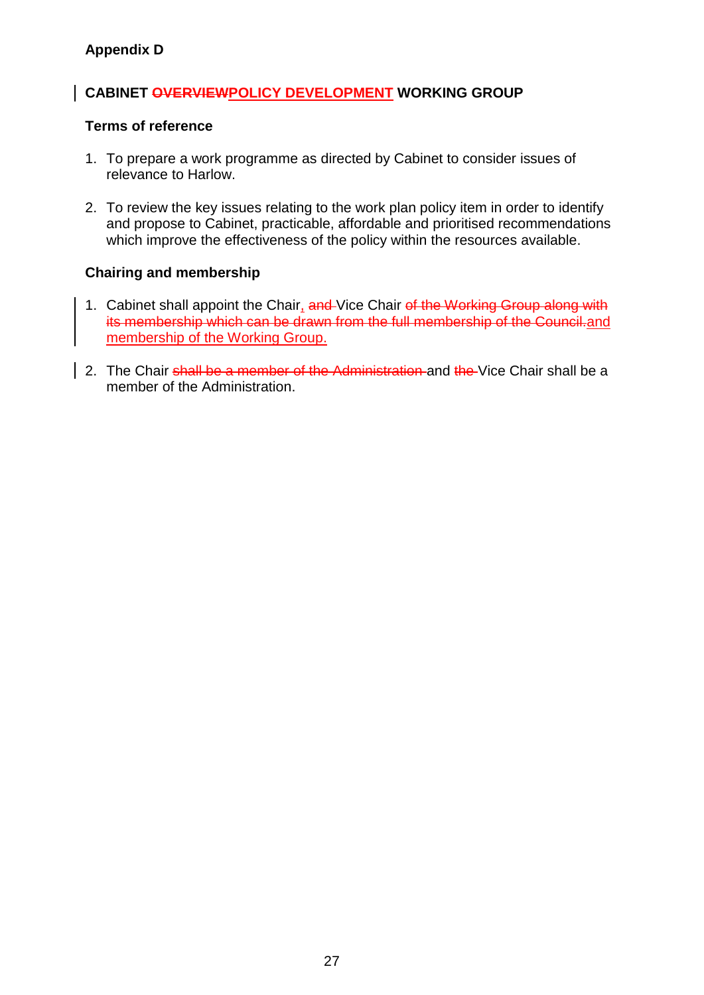# **CABINET OVERVIEWPOLICY DEVELOPMENT WORKING GROUP**

#### **Terms of reference**

- 1. To prepare a work programme as directed by Cabinet to consider issues of relevance to Harlow.
- 2. To review the key issues relating to the work plan policy item in order to identify and propose to Cabinet, practicable, affordable and prioritised recommendations which improve the effectiveness of the policy within the resources available.

# **Chairing and membership**

- 1. Cabinet shall appoint the Chair, and Vice Chair of the Working Group along with its membership which can be drawn from the full membership of the Council.and membership of the Working Group.
- 2. The Chair shall be a member of the Administration and the Vice Chair shall be a member of the Administration.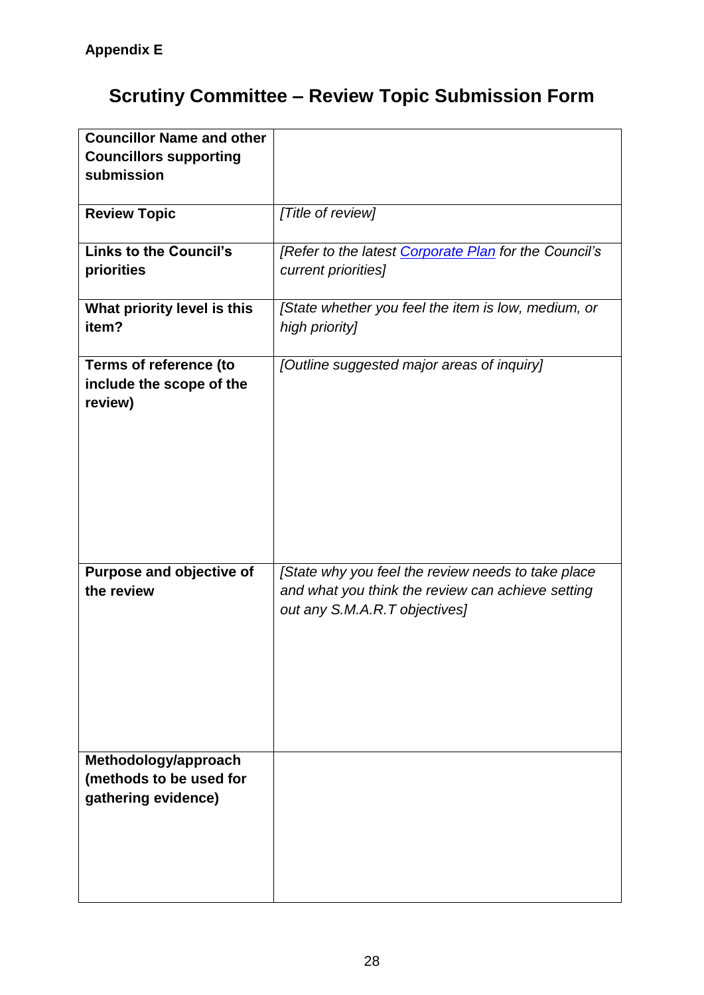# **Scrutiny Committee – Review Topic Submission Form**

| <b>Councillor Name and other</b> |                                                       |
|----------------------------------|-------------------------------------------------------|
| <b>Councillors supporting</b>    |                                                       |
| submission                       |                                                       |
|                                  |                                                       |
| <b>Review Topic</b>              | [Title of review]                                     |
|                                  |                                                       |
| <b>Links to the Council's</b>    | [Refer to the latest Corporate Plan for the Council's |
| priorities                       | current priorities]                                   |
|                                  |                                                       |
| What priority level is this      | [State whether you feel the item is low, medium, or   |
| item?                            | high priority]                                        |
|                                  |                                                       |
| Terms of reference (to           | [Outline suggested major areas of inquiry]            |
| include the scope of the         |                                                       |
| review)                          |                                                       |
|                                  |                                                       |
|                                  |                                                       |
|                                  |                                                       |
|                                  |                                                       |
|                                  |                                                       |
|                                  |                                                       |
|                                  |                                                       |
|                                  |                                                       |
|                                  |                                                       |
| Purpose and objective of         | [State why you feel the review needs to take place    |
| the review                       | and what you think the review can achieve setting     |
|                                  | out any S.M.A.R.T objectives]                         |
|                                  |                                                       |
|                                  |                                                       |
|                                  |                                                       |
|                                  |                                                       |
|                                  |                                                       |
|                                  |                                                       |
|                                  |                                                       |
| Methodology/approach             |                                                       |
| (methods to be used for          |                                                       |
| gathering evidence)              |                                                       |
|                                  |                                                       |
|                                  |                                                       |
|                                  |                                                       |
|                                  |                                                       |
|                                  |                                                       |